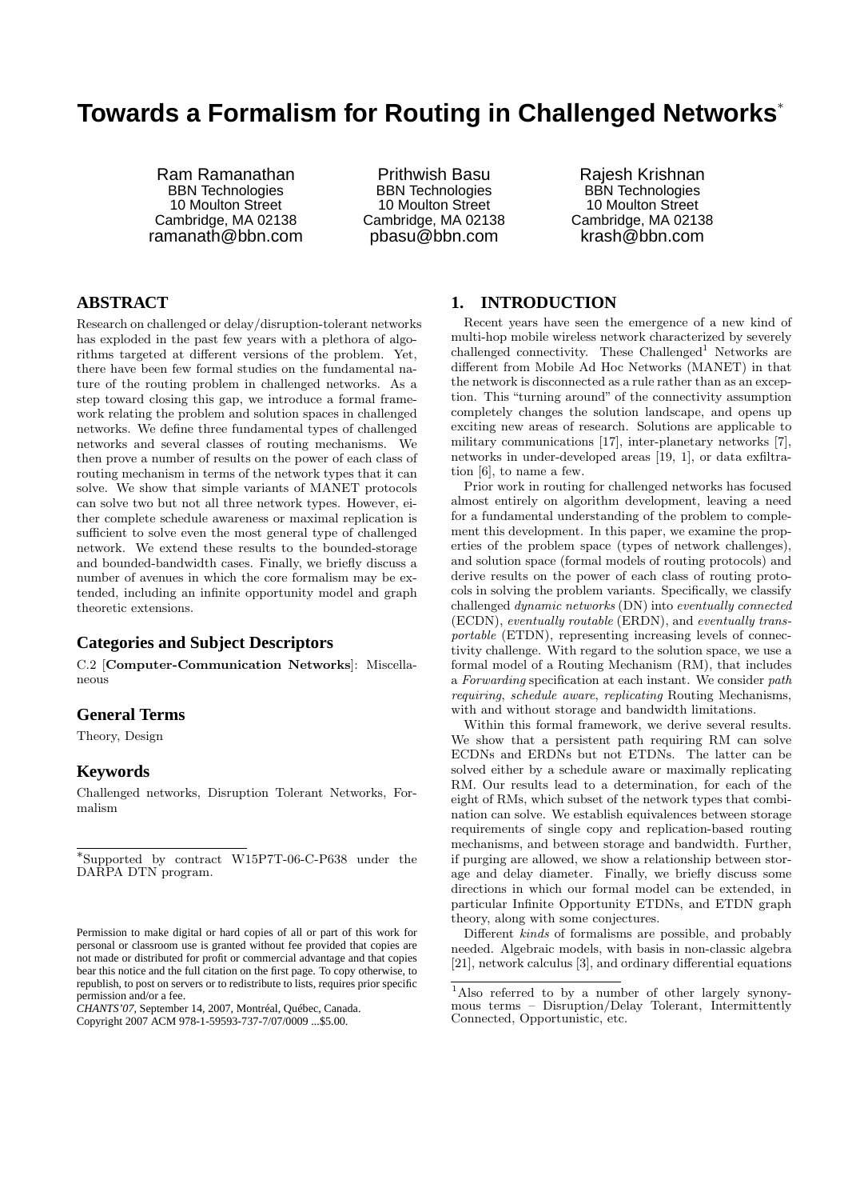# **Towards a Formalism for Routing in Challenged Networks**<sup>∗</sup>

Ram Ramanathan BBN Technologies 10 Moulton Street Cambridge, MA 02138 ramanath@bbn.com

Prithwish Basu BBN Technologies 10 Moulton Street Cambridge, MA 02138 pbasu@bbn.com

Rajesh Krishnan BBN Technologies 10 Moulton Street Cambridge, MA 02138 krash@bbn.com

## **ABSTRACT**

Research on challenged or delay/disruption-tolerant networks has exploded in the past few years with a plethora of algorithms targeted at different versions of the problem. Yet, there have been few formal studies on the fundamental nature of the routing problem in challenged networks. As a step toward closing this gap, we introduce a formal framework relating the problem and solution spaces in challenged networks. We define three fundamental types of challenged networks and several classes of routing mechanisms. We then prove a number of results on the power of each class of routing mechanism in terms of the network types that it can solve. We show that simple variants of MANET protocols can solve two but not all three network types. However, either complete schedule awareness or maximal replication is sufficient to solve even the most general type of challenged network. We extend these results to the bounded-storage and bounded-bandwidth cases. Finally, we briefly discuss a number of avenues in which the core formalism may be extended, including an infinite opportunity model and graph theoretic extensions.

#### **Categories and Subject Descriptors**

C.2 [Computer-Communication Networks]: Miscellaneous

## **General Terms**

Theory, Design

## **Keywords**

Challenged networks, Disruption Tolerant Networks, Formalism

*CHANTS'07,* September 14, 2007, Montréal, Québec, Canada. Copyright 2007 ACM 978-1-59593-737-7/07/0009 ...\$5.00.

## **1. INTRODUCTION**

Recent years have seen the emergence of a new kind of multi-hop mobile wireless network characterized by severely challenged connectivity. These  $Challenged<sup>1</sup>$  Networks are different from Mobile Ad Hoc Networks (MANET) in that the network is disconnected as a rule rather than as an exception. This "turning around" of the connectivity assumption completely changes the solution landscape, and opens up exciting new areas of research. Solutions are applicable to military communications [17], inter-planetary networks [7], networks in under-developed areas [19, 1], or data exfiltration [6], to name a few.

Prior work in routing for challenged networks has focused almost entirely on algorithm development, leaving a need for a fundamental understanding of the problem to complement this development. In this paper, we examine the properties of the problem space (types of network challenges), and solution space (formal models of routing protocols) and derive results on the power of each class of routing protocols in solving the problem variants. Specifically, we classify challenged dynamic networks (DN) into eventually connected (ECDN), eventually routable (ERDN), and eventually transportable (ETDN), representing increasing levels of connectivity challenge. With regard to the solution space, we use a formal model of a Routing Mechanism (RM), that includes a Forwarding specification at each instant. We consider path requiring, schedule aware, replicating Routing Mechanisms, with and without storage and bandwidth limitations.

Within this formal framework, we derive several results. We show that a persistent path requiring RM can solve ECDNs and ERDNs but not ETDNs. The latter can be solved either by a schedule aware or maximally replicating RM. Our results lead to a determination, for each of the eight of RMs, which subset of the network types that combination can solve. We establish equivalences between storage requirements of single copy and replication-based routing mechanisms, and between storage and bandwidth. Further, if purging are allowed, we show a relationship between storage and delay diameter. Finally, we briefly discuss some directions in which our formal model can be extended, in particular Infinite Opportunity ETDNs, and ETDN graph theory, along with some conjectures.

Different kinds of formalisms are possible, and probably needed. Algebraic models, with basis in non-classic algebra [21], network calculus [3], and ordinary differential equations

<sup>∗</sup> Supported by contract W15P7T-06-C-P638 under the DARPA DTN program.

Permission to make digital or hard copies of all or part of this work for personal or classroom use is granted without fee provided that copies are not made or distributed for profit or commercial advantage and that copies bear this notice and the full citation on the first page. To copy otherwise, to republish, to post on servers or to redistribute to lists, requires prior specific permission and/or a fee.

<sup>1</sup>Also referred to by a number of other largely synonymous terms – Disruption/Delay Tolerant, Intermittently Connected, Opportunistic, etc.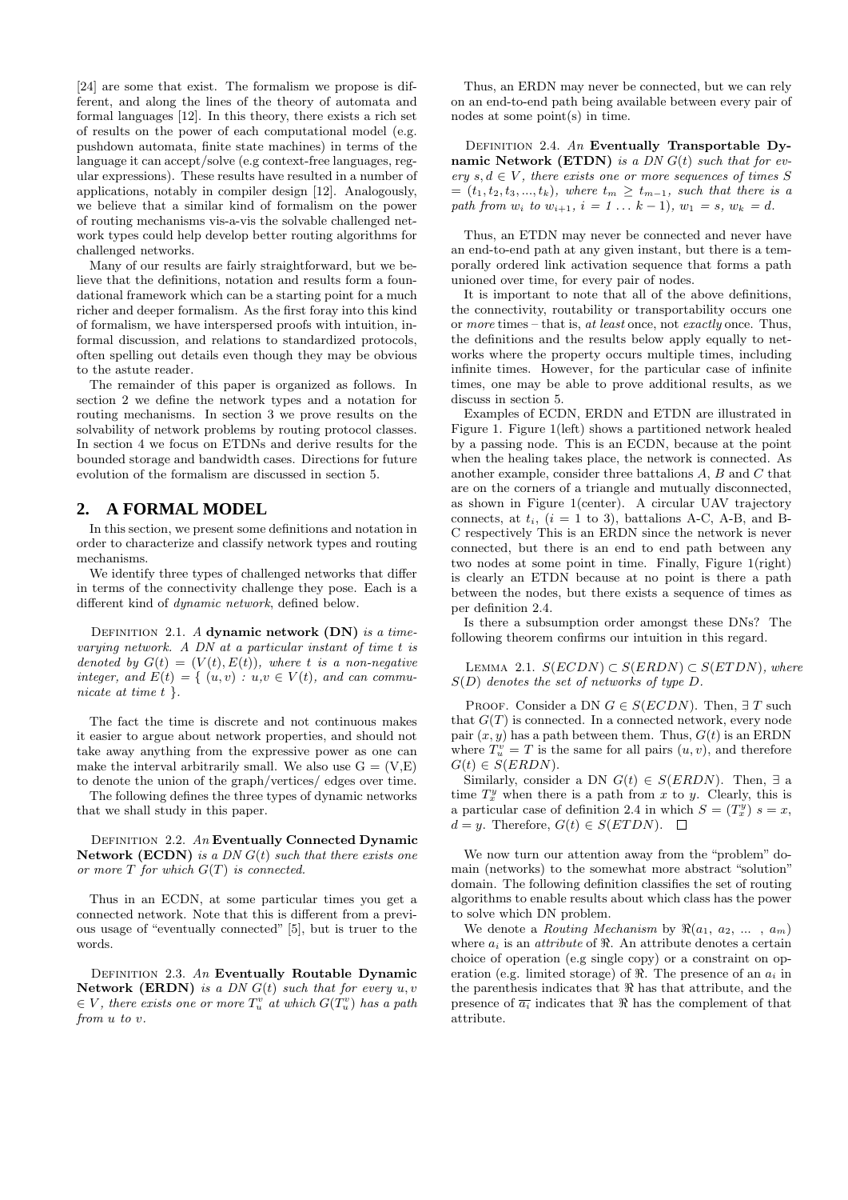[24] are some that exist. The formalism we propose is different, and along the lines of the theory of automata and formal languages [12]. In this theory, there exists a rich set of results on the power of each computational model (e.g. pushdown automata, finite state machines) in terms of the language it can accept/solve (e.g context-free languages, regular expressions). These results have resulted in a number of applications, notably in compiler design [12]. Analogously, we believe that a similar kind of formalism on the power of routing mechanisms vis-a-vis the solvable challenged network types could help develop better routing algorithms for challenged networks.

Many of our results are fairly straightforward, but we believe that the definitions, notation and results form a foundational framework which can be a starting point for a much richer and deeper formalism. As the first foray into this kind of formalism, we have interspersed proofs with intuition, informal discussion, and relations to standardized protocols, often spelling out details even though they may be obvious to the astute reader.

The remainder of this paper is organized as follows. In section 2 we define the network types and a notation for routing mechanisms. In section 3 we prove results on the solvability of network problems by routing protocol classes. In section 4 we focus on ETDNs and derive results for the bounded storage and bandwidth cases. Directions for future evolution of the formalism are discussed in section 5.

## **2. A FORMAL MODEL**

In this section, we present some definitions and notation in order to characterize and classify network types and routing mechanisms.

We identify three types of challenged networks that differ in terms of the connectivity challenge they pose. Each is a different kind of dynamic network, defined below.

DEFINITION 2.1. A dynamic network  $(DN)$  is a timevarying network. A DN at a particular instant of time t is denoted by  $G(t) = (V(t), E(t))$ , where t is a non-negative integer, and  $E(t) = \{ (u, v) : u, v \in V(t), \text{ and can commu-} \}$ nicate at time  $t \}$ .

The fact the time is discrete and not continuous makes it easier to argue about network properties, and should not take away anything from the expressive power as one can make the interval arbitrarily small. We also use  $G = (V, E)$ to denote the union of the graph/vertices/ edges over time.

The following defines the three types of dynamic networks that we shall study in this paper.

DEFINITION 2.2.  $An$  Eventually Connected Dynamic Network (ECDN) is a  $DN G(t)$  such that there exists one or more  $T$  for which  $G(T)$  is connected.

Thus in an ECDN, at some particular times you get a connected network. Note that this is different from a previous usage of "eventually connected" [5], but is truer to the words.

DEFINITION 2.3. An Eventually Routable Dynamic Network (ERDN) is a DN  $G(t)$  such that for every  $u, v$  $\in V$ , there exists one or more  $T_u^v$  at which  $G(T_u^v)$  has a path from u to v.

Thus, an ERDN may never be connected, but we can rely on an end-to-end path being available between every pair of nodes at some point(s) in time.

DEFINITION 2.4. An Eventually Transportable Dynamic Network (ETDN) is a DN  $G(t)$  such that for every  $s, d \in V$ , there exists one or more sequences of times S  $=(t_1, t_2, t_3, ..., t_k),$  where  $t_m \geq t_{m-1}$ , such that there is a path from  $w_i$  to  $w_{i+1}$ ,  $i = 1 ... k - 1$ ,  $w_1 = s$ ,  $w_k = d$ .

Thus, an ETDN may never be connected and never have an end-to-end path at any given instant, but there is a temporally ordered link activation sequence that forms a path unioned over time, for every pair of nodes.

It is important to note that all of the above definitions, the connectivity, routability or transportability occurs one or more times – that is, at least once, not exactly once. Thus, the definitions and the results below apply equally to networks where the property occurs multiple times, including infinite times. However, for the particular case of infinite times, one may be able to prove additional results, as we discuss in section 5.

Examples of ECDN, ERDN and ETDN are illustrated in Figure 1. Figure 1(left) shows a partitioned network healed by a passing node. This is an ECDN, because at the point when the healing takes place, the network is connected. As another example, consider three battalions A, B and C that are on the corners of a triangle and mutually disconnected, as shown in Figure 1(center). A circular UAV trajectory connects, at  $t_i$ ,  $(i = 1$  to 3), battalions A-C, A-B, and B-C respectively This is an ERDN since the network is never connected, but there is an end to end path between any two nodes at some point in time. Finally, Figure 1(right) is clearly an ETDN because at no point is there a path between the nodes, but there exists a sequence of times as per definition 2.4.

Is there a subsumption order amongst these DNs? The following theorem confirms our intuition in this regard.

LEMMA 2.1.  $S(ECDN) \subset S(ERDN) \subset S(ETDN)$ , where  $S(D)$  denotes the set of networks of type D.

PROOF. Consider a DN  $G \in S(ECDN)$ . Then,  $\exists T$  such that  $G(T)$  is connected. In a connected network, every node pair  $(x, y)$  has a path between them. Thus,  $G(t)$  is an ERDN where  $T_u^v = T$  is the same for all pairs  $(u, v)$ , and therefore  $G(t) \in S(ERDN).$ 

Similarly, consider a DN  $G(t) \in S(ERDN)$ . Then,  $\exists$  a time  $T_x^y$  when there is a path from x to y. Clearly, this is a particular case of definition 2.4 in which  $S = (T_x^y) s = x$ ,  $d = y$ . Therefore,  $G(t) \in S(ETDN)$ .  $\Box$ 

We now turn our attention away from the "problem" domain (networks) to the somewhat more abstract "solution" domain. The following definition classifies the set of routing algorithms to enable results about which class has the power to solve which DN problem.

We denote a *Routing Mechanism* by  $\Re(a_1, a_2, \ldots, a_m)$ where  $a_i$  is an *attribute* of  $\Re$ . An attribute denotes a certain choice of operation (e.g single copy) or a constraint on operation (e.g. limited storage) of  $\Re$ . The presence of an  $a_i$  in the parenthesis indicates that  $\Re$  has that attribute, and the presence of  $\overline{a_i}$  indicates that  $\Re$  has the complement of that attribute.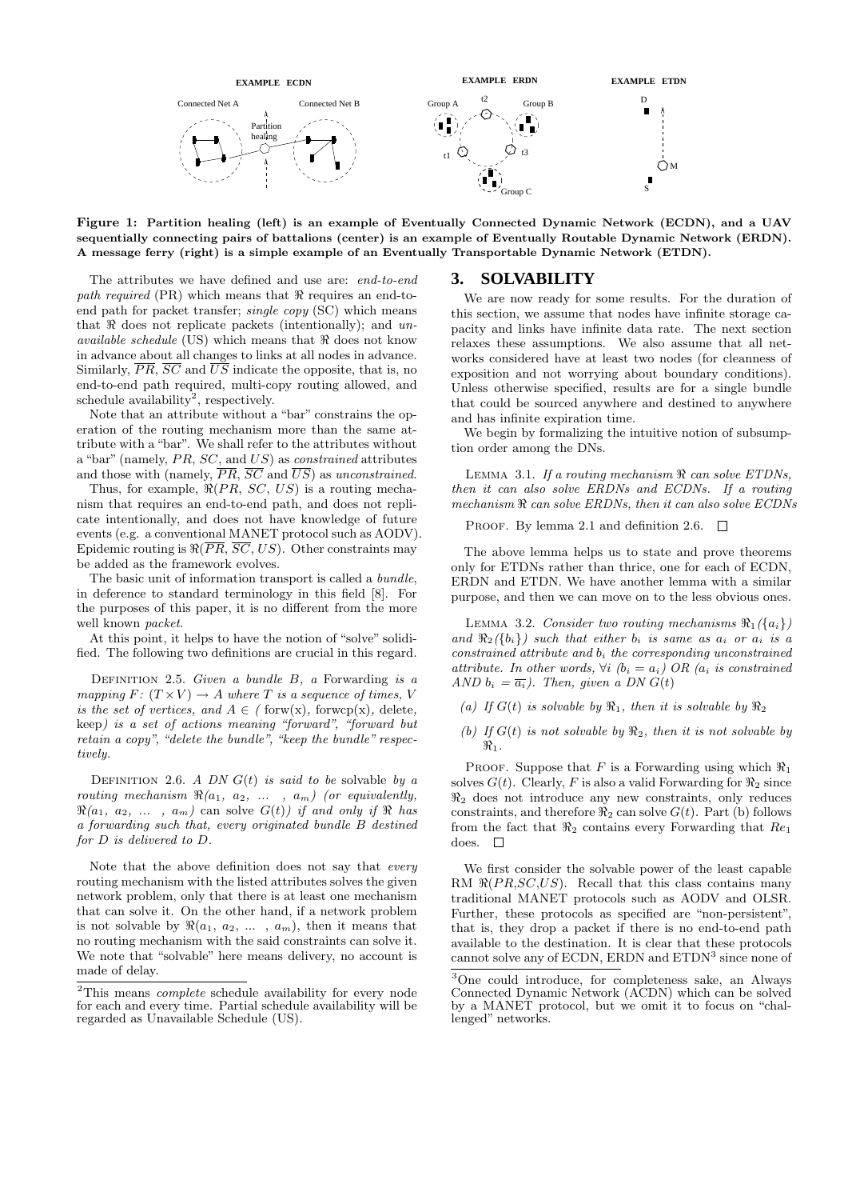

Figure 1: Partition healing (left) is an example of Eventually Connected Dynamic Network (ECDN), and a UAV sequentially connecting pairs of battalions (center) is an example of Eventually Routable Dynamic Network (ERDN). A message ferry (right) is a simple example of an Eventually Transportable Dynamic Network (ETDN).

The attributes we have defined and use are: end-to-end *path required* (PR) which means that  $\Re$  requires an end-toend path for packet transfer; single copy (SC) which means that  $\Re$  does not replicate packets (intentionally); and unavailable schedule (US) which means that  $\Re$  does not know in advance about all changes to links at all nodes in advance. Similarly,  $\overline{PR}$ ,  $\overline{SC}$  and  $\overline{US}$  indicate the opposite, that is, no end-to-end path required, multi-copy routing allowed, and schedule availability<sup>2</sup>, respectively.

Note that an attribute without a "bar" constrains the operation of the routing mechanism more than the same attribute with a "bar". We shall refer to the attributes without a "bar" (namely,  $PR, SC$ , and  $US$ ) as constrained attributes and those with (namely,  $\overline{PR}$ ,  $\overline{SC}$  and  $\overline{US}$ ) as unconstrained.

Thus, for example,  $\Re(PR, SC, US)$  is a routing mechanism that requires an end-to-end path, and does not replicate intentionally, and does not have knowledge of future events (e.g. a conventional MANET protocol such as AODV). Epidemic routing is  $\Re(\overline{PR}, \overline{SC}, US)$ . Other constraints may be added as the framework evolves.

The basic unit of information transport is called a bundle, in deference to standard terminology in this field [8]. For the purposes of this paper, it is no different from the more well known packet.

At this point, it helps to have the notion of "solve" solidified. The following two definitions are crucial in this regard.

DEFINITION 2.5. Given a bundle  $B$ , a Forwarding is a mapping  $F: (T \times V) \to A$  where T is a sequence of times, V is the set of vertices, and  $A \in ( \text{ forw(x)}, \text{ forwcp(x)}, \text{ delete},$ keep) is a set of actions meaning "forward", "forward but retain a copy", "delete the bundle", "keep the bundle" respectively.

DEFINITION 2.6. A DN  $G(t)$  is said to be solvable by a routing mechanism  $\Re(a_1, a_2, \ldots, a_m)$  (or equivalently,  $\Re(a_1, a_2, \ldots, a_m)$  can solve  $G(t)$ ) if and only if  $\Re$  has a forwarding such that, every originated bundle B destined for D is delivered to D.

Note that the above definition does not say that *every* routing mechanism with the listed attributes solves the given network problem, only that there is at least one mechanism that can solve it. On the other hand, if a network problem is not solvable by  $\Re(a_1, a_2, \ldots, a_m)$ , then it means that no routing mechanism with the said constraints can solve it. We note that "solvable" here means delivery, no account is made of delay.

## **3. SOLVABILITY**

We are now ready for some results. For the duration of this section, we assume that nodes have infinite storage capacity and links have infinite data rate. The next section relaxes these assumptions. We also assume that all networks considered have at least two nodes (for cleanness of exposition and not worrying about boundary conditions). Unless otherwise specified, results are for a single bundle that could be sourced anywhere and destined to anywhere and has infinite expiration time.

We begin by formalizing the intuitive notion of subsumption order among the DNs.

LEMMA 3.1. If a routing mechanism  $\Re$  can solve ETDNs, then it can also solve ERDNs and ECDNs. If a routing mechanism  $\Re$  can solve ERDNs, then it can also solve ECDNs

PROOF. By lemma 2.1 and definition 2.6.  $\Box$ 

The above lemma helps us to state and prove theorems only for ETDNs rather than thrice, one for each of ECDN, ERDN and ETDN. We have another lemma with a similar purpose, and then we can move on to the less obvious ones.

LEMMA 3.2. Consider two routing mechanisms  $\Re_1(\{a_i\})$ and  $\Re_2({b_i})$  such that either  $b_i$  is same as  $a_i$  or  $a_i$  is a constrained attribute and  $b_i$  the corresponding unconstrained attribute. In other words,  $\forall i$  ( $b_i = a_i$ ) OR ( $a_i$  is constrained AND  $b_i = \overline{a_i}$ . Then, given a DN  $G(t)$ 

- (a) If  $G(t)$  is solvable by  $\Re_1$ , then it is solvable by  $\Re_2$
- (b) If  $G(t)$  is not solvable by  $\Re_2$ , then it is not solvable by  $\Re_1$ .

PROOF. Suppose that F is a Forwarding using which  $\Re_1$ solves  $G(t)$ . Clearly, F is also a valid Forwarding for  $\Re_2$  since  $\Re_2$  does not introduce any new constraints, only reduces constraints, and therefore  $\Re_2$  can solve  $G(t)$ . Part (b) follows from the fact that  $\Re_2$  contains every Forwarding that  $Re_1$ does.  $\Box$ 

We first consider the solvable power of the least capable RM  $\Re(P R, SC, US)$ . Recall that this class contains many traditional MANET protocols such as AODV and OLSR. Further, these protocols as specified are "non-persistent", that is, they drop a packet if there is no end-to-end path available to the destination. It is clear that these protocols cannot solve any of ECDN, ERDN and ETDN<sup>3</sup> since none of

<sup>&</sup>lt;sup>2</sup>This means *complete* schedule availability for every node for each and every time. Partial schedule availability will be regarded as Unavailable Schedule (US).

<sup>3</sup>One could introduce, for completeness sake, an Always Connected Dynamic Network (ACDN) which can be solved by a MANET protocol, but we omit it to focus on "challenged" networks.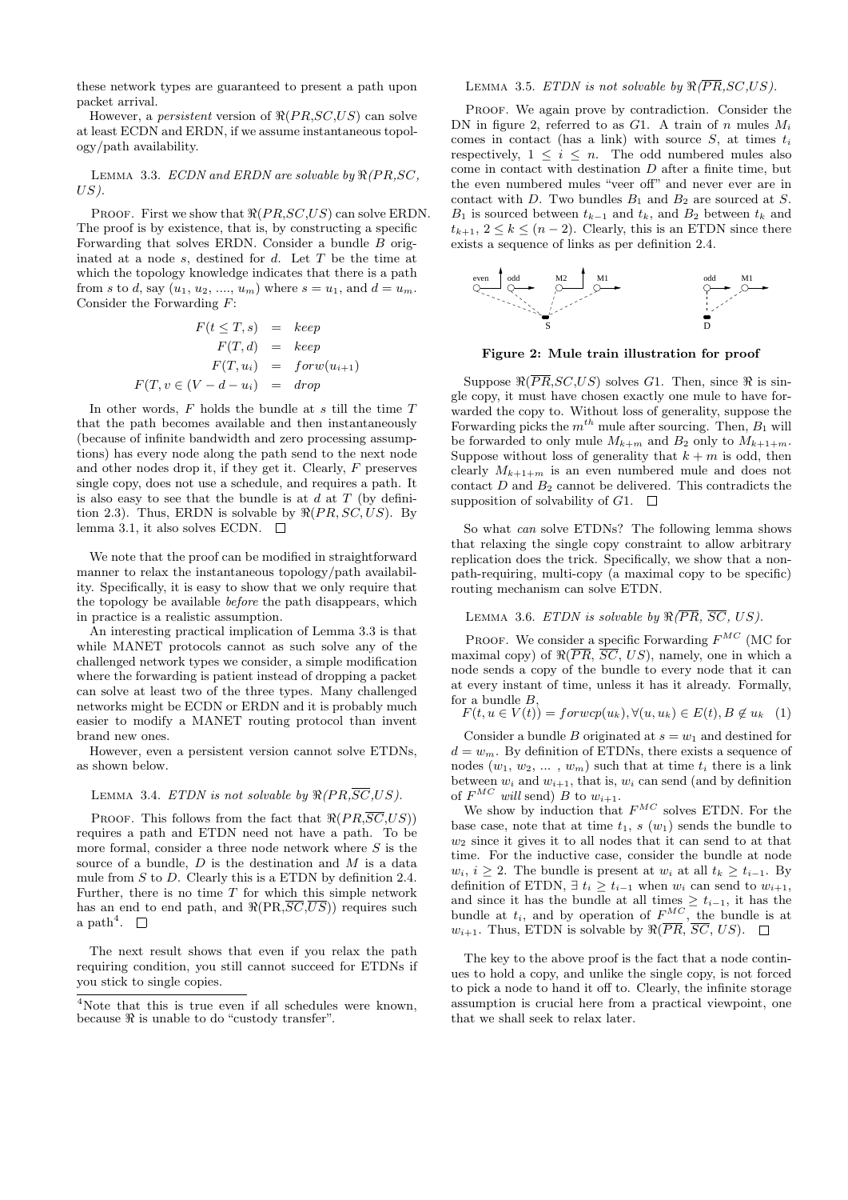these network types are guaranteed to present a path upon packet arrival.

However, a *persistent* version of  $\Re(PR,SC, US)$  can solve at least ECDN and ERDN, if we assume instantaneous topology/path availability.

LEMMA 3.3. ECDN and ERDN are solvable by  $\Re(PR,SC,$  $US$ ).

PROOF. First we show that  $\Re(P R, SC, US)$  can solve ERDN. The proof is by existence, that is, by constructing a specific Forwarding that solves ERDN. Consider a bundle B originated at a node  $s$ , destined for  $d$ . Let  $T$  be the time at which the topology knowledge indicates that there is a path from s to d, say  $(u_1, u_2, ..., u_m)$  where  $s = u_1$ , and  $d = u_m$ . Consider the Forwarding  $F$ :

$$
F(t \leq T, s) = keep
$$
  
\n
$$
F(T, d) = keep
$$
  
\n
$$
F(T, u_i) = forw(u_{i+1})
$$
  
\n
$$
F(T, v \in (V - d - u_i) = drop
$$

In other words,  $F$  holds the bundle at  $s$  till the time  $T$ that the path becomes available and then instantaneously (because of infinite bandwidth and zero processing assumptions) has every node along the path send to the next node and other nodes drop it, if they get it. Clearly, F preserves single copy, does not use a schedule, and requires a path. It is also easy to see that the bundle is at  $d$  at  $T$  (by definition 2.3). Thus, ERDN is solvable by  $\Re(PR, SC, US)$ . By lemma 3.1, it also solves ECDN.  $\square$ 

We note that the proof can be modified in straightforward manner to relax the instantaneous topology/path availability. Specifically, it is easy to show that we only require that the topology be available before the path disappears, which in practice is a realistic assumption.

An interesting practical implication of Lemma 3.3 is that while MANET protocols cannot as such solve any of the challenged network types we consider, a simple modification where the forwarding is patient instead of dropping a packet can solve at least two of the three types. Many challenged networks might be ECDN or ERDN and it is probably much easier to modify a MANET routing protocol than invent brand new ones.

However, even a persistent version cannot solve ETDNs, as shown below.

#### LEMMA 3.4. ETDN is not solvable by  $\Re(PR, \overline{SC}, US)$ .

PROOF. This follows from the fact that  $\Re(PR,\overline{SC},US)$ requires a path and ETDN need not have a path. To be more formal, consider a three node network where  $S$  is the source of a bundle,  $D$  is the destination and  $M$  is a data mule from  $S$  to  $D$ . Clearly this is a ETDN by definition 2.4. Further, there is no time  $T$  for which this simple network has an end to end path, and  $\Re(\text{PR},\overline{SC},\overline{US})$  requires such  $a$  path<sup>4</sup>.

The next result shows that even if you relax the path requiring condition, you still cannot succeed for ETDNs if you stick to single copies.

#### LEMMA 3.5. ETDN is not solvable by  $\Re(\overline{PR}, SC, US)$ .

PROOF. We again prove by contradiction. Consider the DN in figure 2, referred to as  $G1$ . A train of n mules  $M_i$ comes in contact (has a link) with source  $S$ , at times  $t_i$ respectively,  $1 \leq i \leq n$ . The odd numbered mules also come in contact with destination  $D$  after a finite time, but the even numbered mules "veer off" and never ever are in contact with D. Two bundles  $B_1$  and  $B_2$  are sourced at S.  $B_1$  is sourced between  $t_{k-1}$  and  $t_k$ , and  $B_2$  between  $t_k$  and  $t_{k+1}, 2 \leq k \leq (n-2)$ . Clearly, this is an ETDN since there exists a sequence of links as per definition 2.4.



Figure 2: Mule train illustration for proof

Suppose  $\Re(\overline{PR}, SC, US)$  solves G1. Then, since  $\Re$  is single copy, it must have chosen exactly one mule to have forwarded the copy to. Without loss of generality, suppose the Forwarding picks the  $m^{th}$  mule after sourcing. Then,  $B_1$  will be forwarded to only mule  $M_{k+m}$  and  $B_2$  only to  $M_{k+1+m}$ . Suppose without loss of generality that  $k + m$  is odd, then clearly  $M_{k+1+m}$  is an even numbered mule and does not contact  $D$  and  $B_2$  cannot be delivered. This contradicts the supposition of solvability of  $G1. \square$ 

So what can solve ETDNs? The following lemma shows that relaxing the single copy constraint to allow arbitrary replication does the trick. Specifically, we show that a nonpath-requiring, multi-copy (a maximal copy to be specific) routing mechanism can solve ETDN.

LEMMA 3.6. ETDN is solvable by  $\Re(\overline{PR}, \overline{SC}, US)$ .

PROOF. We consider a specific Forwarding  $F^{MC}$  (MC for maximal copy) of  $\Re(\overline{PR}, \overline{SC}, US)$ , namely, one in which a node sends a copy of the bundle to every node that it can at every instant of time, unless it has it already. Formally, for a bundle  $B$ ,

$$
F(t, u \in V(t)) = forwcp(u_k), \forall (u, u_k) \in E(t), B \notin u_k \quad (1)
$$

Consider a bundle B originated at  $s = w_1$  and destined for  $d = w_m$ . By definition of ETDNs, there exists a sequence of nodes  $(w_1, w_2, \dots, w_m)$  such that at time  $t_i$  there is a link between  $w_i$  and  $w_{i+1}$ , that is,  $w_i$  can send (and by definition of  $F^{MC}$  will send) B to  $w_{i+1}$ .

We show by induction that  $F^{MC}$  solves ETDN. For the base case, note that at time  $t_1$ , s  $(w_1)$  sends the bundle to  $w_2$  since it gives it to all nodes that it can send to at that time. For the inductive case, consider the bundle at node  $w_i, i \geq 2$ . The bundle is present at  $w_i$  at all  $t_k \geq t_{i-1}$ . By definition of ETDN,  $\exists t_i \geq t_{i-1}$  when  $w_i$  can send to  $w_{i+1}$ , and since it has the bundle at all times  $\geq t_{i-1}$ , it has the bundle at  $t_i$ , and by operation of  $F^{MC}$ , the bundle is at  $w_{i+1}$ . Thus, ETDN is solvable by  $\Re(\overline{PR}, \overline{SC}, US)$ .  $\Box$ 

The key to the above proof is the fact that a node continues to hold a copy, and unlike the single copy, is not forced to pick a node to hand it off to. Clearly, the infinite storage assumption is crucial here from a practical viewpoint, one that we shall seek to relax later.

<sup>&</sup>lt;sup>4</sup>Note that this is true even if all schedules were known, because  $\Re$  is unable to do "custody transfer".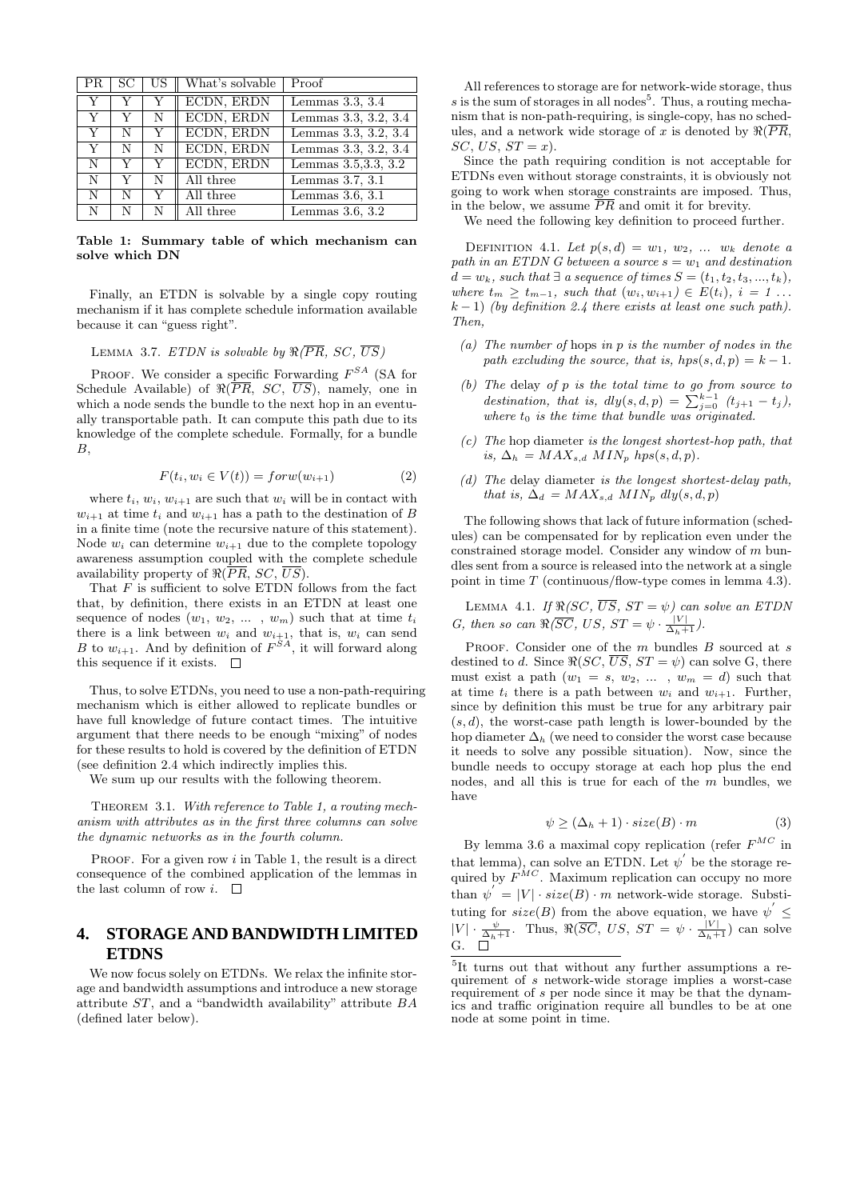| PR. | SC | US | What's solvable | Proof                |
|-----|----|----|-----------------|----------------------|
| Y   |    |    | ECDN, ERDN      | Lemmas $3.3, 3.4$    |
| Y   |    | N  | ECDN, ERDN      | Lemmas 3.3, 3.2, 3.4 |
| Y   | N  | Y  | ECDN, ERDN      | Lemmas 3.3, 3.2, 3.4 |
| Y   | N  | N  | ECDN, ERDN      | Lemmas 3.3, 3.2, 3.4 |
| N   |    | Y  | ECDN, ERDN      | Lemmas 3.5, 3.3, 3.2 |
| N   |    | N  | All three       | Lemmas $3.7, 3.1$    |
| N   | N  | Y  | All three       | Lemmas $3.6, 3.1$    |
| N   |    |    | All three       | Lemmas $3.6, 3.2$    |

Table 1: Summary table of which mechanism can solve which DN

Finally, an ETDN is solvable by a single copy routing mechanism if it has complete schedule information available because it can "guess right".

LEMMA 3.7. ETDN is solvable by  $\Re(\overline{PR}, SC, \overline{US})$ 

PROOF. We consider a specific Forwarding  $F^{SA}$  (SA for Schedule Available) of  $\Re(\overline{PR}, SC, \overline{US})$ , namely, one in which a node sends the bundle to the next hop in an eventually transportable path. It can compute this path due to its knowledge of the complete schedule. Formally, for a bundle  $B$ ,

$$
F(t_i, w_i \in V(t)) = forw(w_{i+1})
$$
\n<sup>(2)</sup>

where  $t_i, w_i, w_{i+1}$  are such that  $w_i$  will be in contact with  $w_{i+1}$  at time  $t_i$  and  $w_{i+1}$  has a path to the destination of B in a finite time (note the recursive nature of this statement). Node  $w_i$  can determine  $w_{i+1}$  due to the complete topology awareness assumption coupled with the complete schedule availability property of  $\Re(\overline{PR}, SC, \overline{US}).$ 

That  $F$  is sufficient to solve ETDN follows from the fact that, by definition, there exists in an ETDN at least one sequence of nodes  $(w_1, w_2, \ldots, w_m)$  such that at time  $t_i$ there is a link between  $w_i$  and  $w_{i+1}$ , that is,  $w_i$  can send B to  $w_{i+1}$ . And by definition of  $F^{SA}$ , it will forward along this sequence if it exists.  $\Box$ 

Thus, to solve ETDNs, you need to use a non-path-requiring mechanism which is either allowed to replicate bundles or have full knowledge of future contact times. The intuitive argument that there needs to be enough "mixing" of nodes for these results to hold is covered by the definition of ETDN (see definition 2.4 which indirectly implies this.

We sum up our results with the following theorem.

THEOREM 3.1. With reference to Table 1, a routing mechanism with attributes as in the first three columns can solve the dynamic networks as in the fourth column.

PROOF. For a given row  $i$  in Table 1, the result is a direct consequence of the combined application of the lemmas in the last column of row *i*.  $\Box$ 

## **4. STORAGE AND BANDWIDTH LIMITED ETDNS**

We now focus solely on ETDNs. We relax the infinite storage and bandwidth assumptions and introduce a new storage attribute ST, and a "bandwidth availability" attribute BA (defined later below).

All references to storage are for network-wide storage, thus  $s$  is the sum of storages in all nodes<sup>5</sup>. Thus, a routing mechanism that is non-path-requiring, is single-copy, has no schedules, and a network wide storage of x is denoted by  $\Re(\overline{PR},$  $SC, US, ST = x$ ).

Since the path requiring condition is not acceptable for ETDNs even without storage constraints, it is obviously not going to work when storage constraints are imposed. Thus, in the below, we assume  $\overline{PR}$  and omit it for brevity.

We need the following key definition to proceed further.

DEFINITION 4.1. Let  $p(s, d) = w_1, w_2, \ldots w_k$  denote a path in an ETDN G between a source  $s = w_1$  and destination  $d = w_k$ , such that  $\exists$  a sequence of times  $S = (t_1, t_2, t_3, ..., t_k)$ , where  $t_m \geq t_{m-1}$ , such that  $(w_i, w_{i+1}) \in E(t_i)$ ,  $i = 1 \ldots$  $k-1$ ) (by definition 2.4 there exists at least one such path). Then,

- (a) The number of hops in  $p$  is the number of nodes in the path excluding the source, that is,  $hps(s, d, p) = k - 1$ .
- $(b)$  The delay of p is the total time to go from source to destination, that is,  $dly(s, d, p) = \sum_{j=0}^{k-1} (t_{j+1} - t_j)$ , where  $t_0$  is the time that bundle was originated.
- $(c)$  The hop diameter is the longest shortest-hop path, that is,  $\Delta_h = MAX_{s,d}$  MIN<sub>p</sub> hps(s, d, p).
- (d) The delay diameter is the longest shortest-delay path, that is,  $\Delta_d = MAX_{s,d}$   $MIN_p$   $dly(s, d, p)$

The following shows that lack of future information (schedules) can be compensated for by replication even under the constrained storage model. Consider any window of  $m$  bundles sent from a source is released into the network at a single point in time  $T$  (continuous/flow-type comes in lemma 4.3).

LEMMA 4.1. If  $\Re(SC, \overline{US}, ST = \psi)$  can solve an ETDN G, then so can  $\Re(\overline{SC}, US, ST = \psi \cdot \frac{|V|}{\Delta_h+1})$ .

PROOF. Consider one of the  $m$  bundles  $B$  sourced at  $s$ destined to d. Since  $\Re(SC, \overline{US}, ST = \psi)$  can solve G, there must exist a path  $(w_1 = s, w_2, \dots, w_m = d)$  such that at time  $t_i$  there is a path between  $w_i$  and  $w_{i+1}$ . Further, since by definition this must be true for any arbitrary pair  $(s, d)$ , the worst-case path length is lower-bounded by the hop diameter  $\Delta_h$  (we need to consider the worst case because it needs to solve any possible situation). Now, since the bundle needs to occupy storage at each hop plus the end nodes, and all this is true for each of the m bundles, we have

$$
\psi \ge (\Delta_h + 1) \cdot size(B) \cdot m \tag{3}
$$

By lemma 3.6 a maximal copy replication (refer  $F^{MC}$  in that lemma), can solve an ETDN. Let  $\psi^{'}$  be the storage required by  $F^{MC}$ . Maximum replication can occupy no more than  $\psi' = |V| \cdot size(B) \cdot m$  network-wide storage. Substituting for  $size(B)$  from the above equation, we have  $\psi$ <sup>'</sup>  $|V| \cdot \frac{\psi}{\Delta_h+1}$ . Thus,  $\Re(\overline{SC}, \text{US}, \text{ST} = \psi \cdot \frac{|V|}{\Delta_h+1})$  can solve G.  $\overline{\Box}$ 

<sup>&</sup>lt;sup>5</sup>It turns out that without any further assumptions a requirement of s network-wide storage implies a worst-case requirement of s per node since it may be that the dynamics and traffic origination require all bundles to be at one node at some point in time.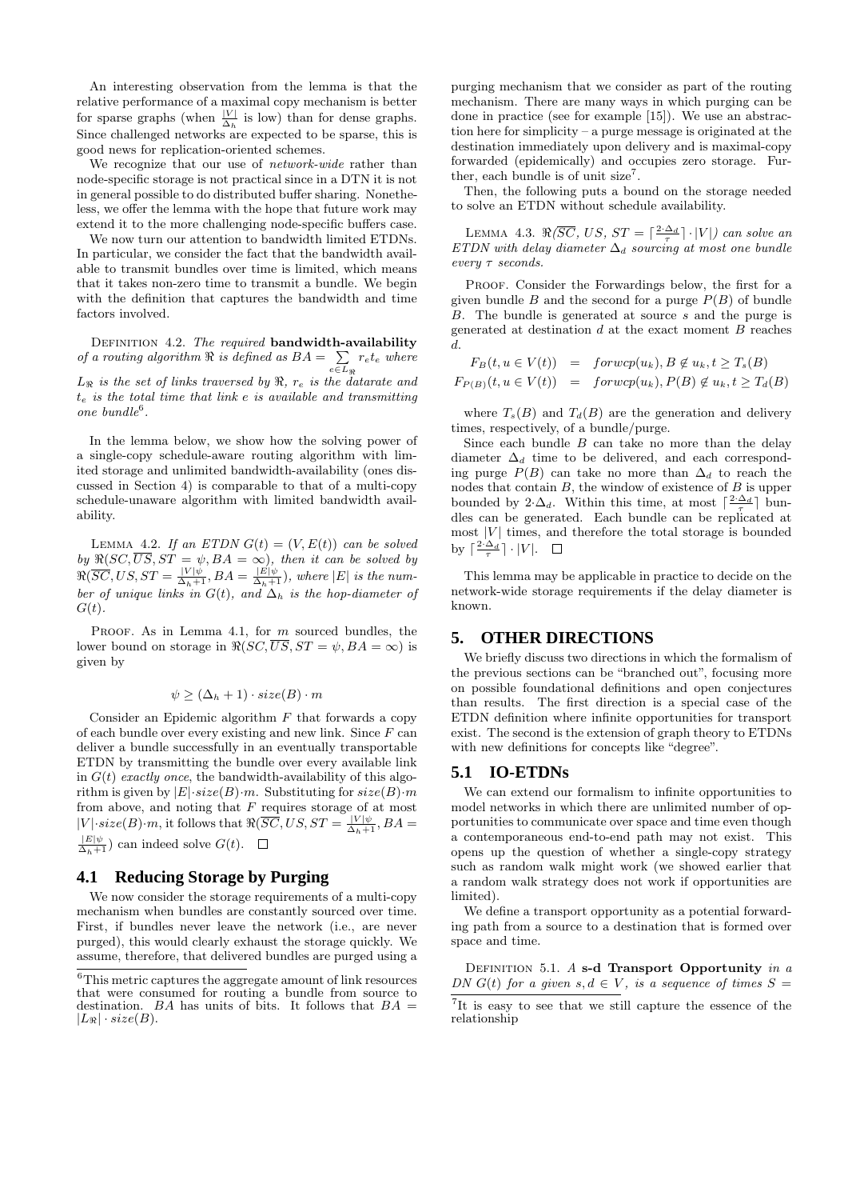An interesting observation from the lemma is that the relative performance of a maximal copy mechanism is better for sparse graphs (when  $\frac{|V|}{\Delta_h}$  is low) than for dense graphs. Since challenged networks are expected to be sparse, this is good news for replication-oriented schemes.

We recognize that our use of *network-wide* rather than node-specific storage is not practical since in a DTN it is not in general possible to do distributed buffer sharing. Nonetheless, we offer the lemma with the hope that future work may extend it to the more challenging node-specific buffers case.

We now turn our attention to bandwidth limited ETDNs. In particular, we consider the fact that the bandwidth available to transmit bundles over time is limited, which means that it takes non-zero time to transmit a bundle. We begin with the definition that captures the bandwidth and time factors involved.

DEFINITION 4.2. The required bandwidth-availability of a routing algorithm  $\Re$  is defined as  $BA = \sum$  $\sum_{e \in L_{\Re}} r_e t_e$  where  $L_{\Re}$  is the set of links traversed by  $\Re, r_e$  is the datarate and  $t_e$  is the total time that link e is available and transmitting  $one bundle<sup>6</sup>.$ 

In the lemma below, we show how the solving power of a single-copy schedule-aware routing algorithm with limited storage and unlimited bandwidth-availability (ones discussed in Section 4) is comparable to that of a multi-copy schedule-unaware algorithm with limited bandwidth availability.

LEMMA 4.2. If an ETDN  $G(t) = (V, E(t))$  can be solved by  $\Re(SC, US, ST = \psi, BA = \infty)$ , then it can be solved by  $\Re(\overline{SC}, US, ST = \frac{|V|\psi}{\Delta_h+1}, BA = \frac{|E|\psi}{\Delta_h+1}),$  where  $|E|$  is the number of unique links in  $G(t)$ , and  $\Delta_h$  is the hop-diameter of  $G(t)$ .

PROOF. As in Lemma 4.1, for  $m$  sourced bundles, the lower bound on storage in  $\Re(SC, \overline{US}, ST = \psi, BA = \infty)$  is given by

$$
\psi \geq (\Delta_h + 1) \cdot size(B) \cdot m
$$

Consider an Epidemic algorithm  $F$  that forwards a copy of each bundle over every existing and new link. Since  $F$  can deliver a bundle successfully in an eventually transportable ETDN by transmitting the bundle over every available link in  $G(t)$  exactly once, the bandwidth-availability of this algorithm is given by  $|E| \cdot size(B) \cdot m$ . Substituting for  $size(B) \cdot m$ from above, and noting that  $F$  requires storage of at most  $|V| \cdot size(B) \cdot m$ , it follows that  $\Re(\overline{SC}, US, ST = \frac{|V|\psi|}{\Delta_h+1}, BA = \frac{|E|\psi|}{\Delta_h+1})$  can indeed solve  $G(t)$ .  $\square$ 

#### **4.1 Reducing Storage by Purging**

We now consider the storage requirements of a multi-copy mechanism when bundles are constantly sourced over time. First, if bundles never leave the network (i.e., are never purged), this would clearly exhaust the storage quickly. We assume, therefore, that delivered bundles are purged using a

purging mechanism that we consider as part of the routing mechanism. There are many ways in which purging can be done in practice (see for example [15]). We use an abstraction here for simplicity – a purge message is originated at the destination immediately upon delivery and is maximal-copy forwarded (epidemically) and occupies zero storage. Further, each bundle is of unit  $size^7$ .

Then, the following puts a bound on the storage needed to solve an ETDN without schedule availability.

LEMMA 4.3.  $\Re(\overline{SC}, US, ST = \lceil \frac{2 \cdot \Delta_d}{\tau} \rceil \cdot |V|)$  can solve an ETDN with delay diameter  $\Delta_d$  sourcing at most one bundle every τ seconds.

PROOF. Consider the Forwardings below, the first for a given bundle  $B$  and the second for a purge  $P(B)$  of bundle B. The bundle is generated at source s and the purge is generated at destination  $d$  at the exact moment  $B$  reaches  $d_{\cdot}$ 

$$
F_B(t, u \in V(t)) = \text{for} wcp(u_k), B \notin u_k, t \geq T_s(B)
$$
  

$$
F_{P(B)}(t, u \in V(t)) = \text{for} wcp(u_k), P(B) \notin u_k, t \geq T_d(B)
$$

where  $T_s(B)$  and  $T_d(B)$  are the generation and delivery times, respectively, of a bundle/purge.

Since each bundle  $B$  can take no more than the delay diameter  $\Delta_d$  time to be delivered, and each corresponding purge  $P(B)$  can take no more than  $\Delta_d$  to reach the nodes that contain  $B$ , the window of existence of  $B$  is upper bounded by 2· $\Delta_d$ . Within this time, at most  $\lceil \frac{2 \cdot \Delta_d}{\tau} \rceil$  bundles can be generated. Each bundle can be replicated at most  $|V|$  times, and therefore the total storage is bounded by  $\lceil \frac{2 \cdot \Delta_d}{\tau} \rceil \cdot |V|$ .

This lemma may be applicable in practice to decide on the network-wide storage requirements if the delay diameter is known.

## **5. OTHER DIRECTIONS**

We briefly discuss two directions in which the formalism of the previous sections can be "branched out", focusing more on possible foundational definitions and open conjectures than results. The first direction is a special case of the ETDN definition where infinite opportunities for transport exist. The second is the extension of graph theory to ETDNs with new definitions for concepts like "degree".

## **5.1 IO-ETDNs**

We can extend our formalism to infinite opportunities to model networks in which there are unlimited number of opportunities to communicate over space and time even though a contemporaneous end-to-end path may not exist. This opens up the question of whether a single-copy strategy such as random walk might work (we showed earlier that a random walk strategy does not work if opportunities are limited).

We define a transport opportunity as a potential forwarding path from a source to a destination that is formed over space and time.

DEFINITION 5.1.  $A$  s-d Transport Opportunity in a DN  $G(t)$  for a given  $s, d \in V$ , is a sequence of times  $S =$ 

<sup>6</sup>This metric captures the aggregate amount of link resources that were consumed for routing a bundle from source to destination. BA has units of bits. It follows that  $BA =$  $|L_{\Re}| \cdot size(B).$ 

<sup>&</sup>lt;sup>7</sup>It is easy to see that we still capture the essence of the relationship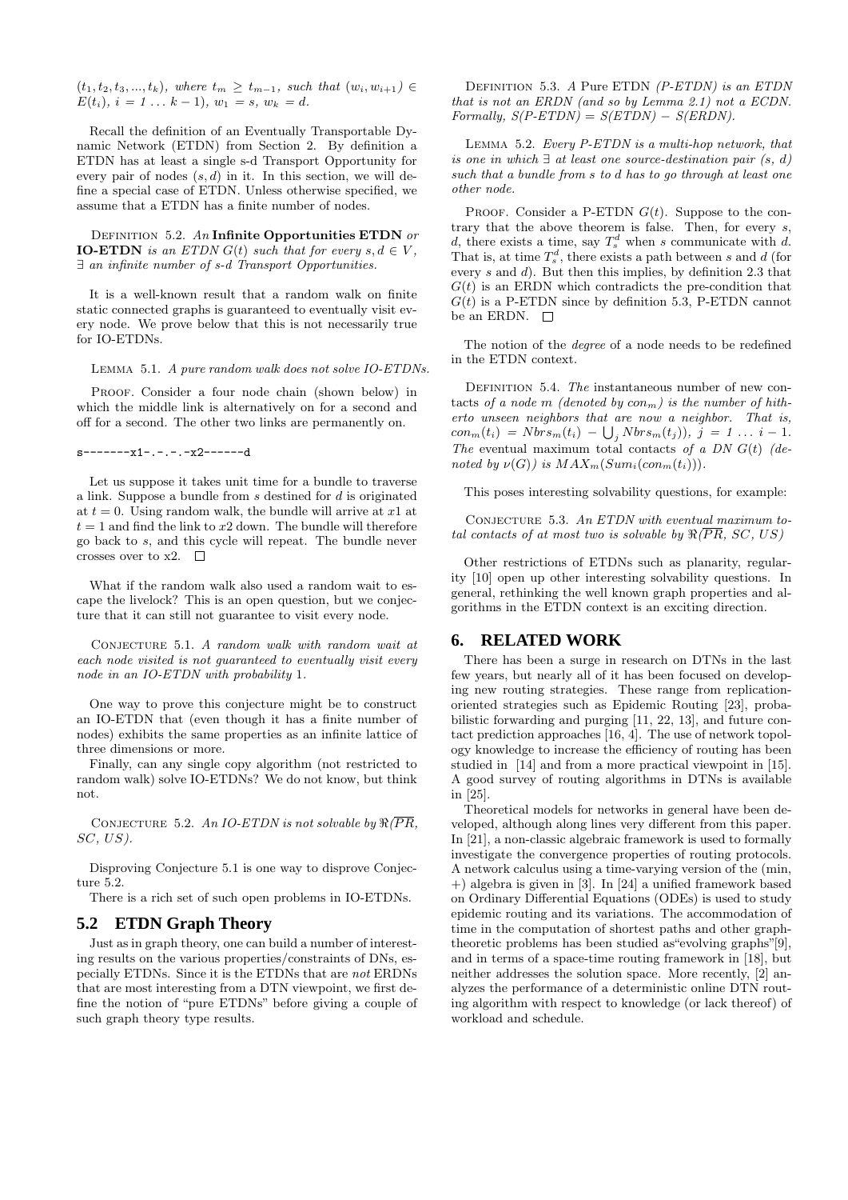$(t_1, t_2, t_3, ..., t_k)$ , where  $t_m \geq t_{m-1}$ , such that  $(w_i, w_{i+1}) \in$  $E(t_i), i = 1 ... k - 1, w_1 = s, w_k = d.$ 

Recall the definition of an Eventually Transportable Dynamic Network (ETDN) from Section 2. By definition a ETDN has at least a single s-d Transport Opportunity for every pair of nodes  $(s, d)$  in it. In this section, we will define a special case of ETDN. Unless otherwise specified, we assume that a ETDN has a finite number of nodes.

DEFINITION 5.2. An Infinite Opportunities ETDN or **IO-ETDN** is an ETDN  $G(t)$  such that for every  $s, d \in V$ , ∃ an infinite number of s-d Transport Opportunities.

It is a well-known result that a random walk on finite static connected graphs is guaranteed to eventually visit every node. We prove below that this is not necessarily true for IO-ETDNs.

Lemma 5.1. A pure random walk does not solve IO-ETDNs.

PROOF. Consider a four node chain (shown below) in which the middle link is alternatively on for a second and off for a second. The other two links are permanently on.

s-------x1-.-.-.-x2------d

Let us suppose it takes unit time for a bundle to traverse a link. Suppose a bundle from s destined for d is originated at  $t = 0$ . Using random walk, the bundle will arrive at x1 at  $t = 1$  and find the link to  $x2$  down. The bundle will therefore go back to s, and this cycle will repeat. The bundle never crosses over to  $x2.$ 

What if the random walk also used a random wait to escape the livelock? This is an open question, but we conjecture that it can still not guarantee to visit every node.

CONJECTURE 5.1. A random walk with random wait at each node visited is not guaranteed to eventually visit every node in an IO-ETDN with probability 1.

One way to prove this conjecture might be to construct an IO-ETDN that (even though it has a finite number of nodes) exhibits the same properties as an infinite lattice of three dimensions or more.

Finally, can any single copy algorithm (not restricted to random walk) solve IO-ETDNs? We do not know, but think not.

CONJECTURE 5.2. An IO-ETDN is not solvable by  $\Re(\overline{PR},$  $SC, US$ ).

Disproving Conjecture 5.1 is one way to disprove Conjecture 5.2.

There is a rich set of such open problems in IO-ETDNs.

#### **5.2 ETDN Graph Theory**

Just as in graph theory, one can build a number of interesting results on the various properties/constraints of DNs, especially ETDNs. Since it is the ETDNs that are not ERDNs that are most interesting from a DTN viewpoint, we first define the notion of "pure ETDNs" before giving a couple of such graph theory type results.

Definition 5.3. A Pure ETDN (P-ETDN) is an ETDN that is not an ERDN (and so by Lemma 2.1) not a ECDN.  $Formally, S(P-ETDN) = S(ETDN) - S(ERDN).$ 

Lemma 5.2. Every P-ETDN is a multi-hop network, that is one in which  $\exists$  at least one source-destination pair  $(s, d)$ such that a bundle from s to d has to go through at least one other node.

PROOF. Consider a P-ETDN  $G(t)$ . Suppose to the contrary that the above theorem is false. Then, for every s, d, there exists a time, say  $T_s^d$  when s communicate with d. That is, at time  $T_s^d$ , there exists a path between s and d (for every  $s$  and  $d$ ). But then this implies, by definition 2.3 that  $G(t)$  is an ERDN which contradicts the pre-condition that  $G(t)$  is a P-ETDN since by definition 5.3, P-ETDN cannot be an ERDN.  $\Box$ 

The notion of the *degree* of a node needs to be redefined in the ETDN context.

DEFINITION 5.4. The instantaneous number of new contacts of a node m (denoted by  $con_m$ ) is the number of hitherto unseen neighbors that are now a neighbor. That is,  $con_m(t_i) = Nbrs_m(t_i) - \bigcup_j Nbrs_m(t_j)$ ,  $j = 1 ... i - 1$ . The eventual maximum total contacts of a DN  $G(t)$  (denoted by  $\nu(G)$ ) is  $MAX_m(Sum_i(con_m(t_i)))$ .

This poses interesting solvability questions, for example:

CONJECTURE  $5.3.$  An ETDN with eventual maximum total contacts of at most two is solvable by  $\Re(\overline{PR}, SC, US)$ 

Other restrictions of ETDNs such as planarity, regularity [10] open up other interesting solvability questions. In general, rethinking the well known graph properties and algorithms in the ETDN context is an exciting direction.

## **6. RELATED WORK**

There has been a surge in research on DTNs in the last few years, but nearly all of it has been focused on developing new routing strategies. These range from replicationoriented strategies such as Epidemic Routing [23], probabilistic forwarding and purging [11, 22, 13], and future contact prediction approaches [16, 4]. The use of network topology knowledge to increase the efficiency of routing has been studied in [14] and from a more practical viewpoint in [15]. A good survey of routing algorithms in DTNs is available in [25].

Theoretical models for networks in general have been developed, although along lines very different from this paper. In [21], a non-classic algebraic framework is used to formally investigate the convergence properties of routing protocols. A network calculus using a time-varying version of the (min, +) algebra is given in [3]. In [24] a unified framework based on Ordinary Differential Equations (ODEs) is used to study epidemic routing and its variations. The accommodation of time in the computation of shortest paths and other graphtheoretic problems has been studied as"evolving graphs"[9], and in terms of a space-time routing framework in [18], but neither addresses the solution space. More recently, [2] analyzes the performance of a deterministic online DTN routing algorithm with respect to knowledge (or lack thereof) of workload and schedule.